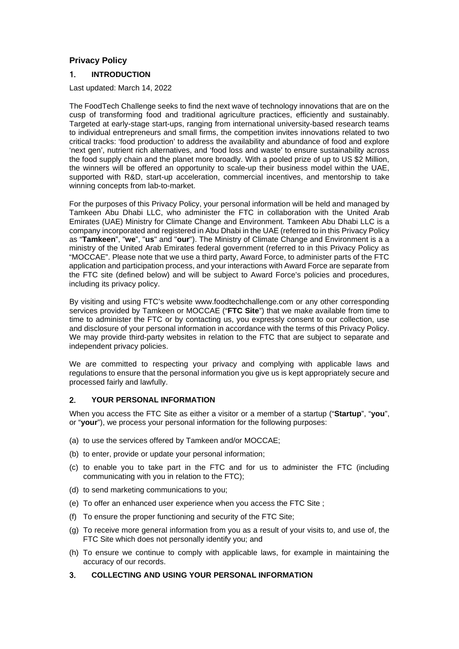# **Privacy Policy**

## 1. **INTRODUCTION**

Last updated: March 14, 2022

The FoodTech Challenge seeks to find the next wave of technology innovations that are on the cusp of transforming food and traditional agriculture practices, efficiently and sustainably. Targeted at early-stage start-ups, ranging from international university-based research teams to individual entrepreneurs and small firms, the competition invites innovations related to two critical tracks: 'food production' to address the availability and abundance of food and explore 'next gen', nutrient rich alternatives, and 'food loss and waste' to ensure sustainability across the food supply chain and the planet more broadly. With a pooled prize of up to US \$2 Million, the winners will be offered an opportunity to scale-up their business model within the UAE, supported with R&D, start-up acceleration, commercial incentives, and mentorship to take winning concepts from lab-to-market.

For the purposes of this Privacy Policy, your personal information will be held and managed by Tamkeen Abu Dhabi LLC, who administer the FTC in collaboration with the United Arab Emirates (UAE) Ministry for Climate Change and Environment. Tamkeen Abu Dhabi LLC is a company incorporated and registered in Abu Dhabi in the UAE (referred to in this Privacy Policy as "**Tamkeen**", "**we**", "**us**" and "**our**"). The Ministry of Climate Change and Environment is a a ministry of the United Arab Emirates federal government (referred to in this Privacy Policy as "MOCCAE". Please note that we use a third party, Award Force, to administer parts of the FTC application and participation process, and your interactions with Award Force are separate from the FTC site (defined below) and will be subject to Award Force's policies and procedures, including its privacy policy.

By visiting and using FTC's website www.foodtechchallenge.com or any other corresponding services provided by Tamkeen or MOCCAE ("**FTC Site**") that we make available from time to time to administer the FTC or by contacting us, you expressly consent to our collection, use and disclosure of your personal information in accordance with the terms of this Privacy Policy. We may provide third-party websites in relation to the FTC that are subject to separate and independent privacy policies.

We are committed to respecting your privacy and complying with applicable laws and regulations to ensure that the personal information you give us is kept appropriately secure and processed fairly and lawfully.

## 2. **YOUR PERSONAL INFORMATION**

When you access the FTC Site as either a visitor or a member of a startup ("**Startup**", "**you**", or "**your**"), we process your personal information for the following purposes:

- (a) to use the services offered by Tamkeen and/or MOCCAE;
- (b) to enter, provide or update your personal information;
- (c) to enable you to take part in the FTC and for us to administer the FTC (including communicating with you in relation to the FTC);
- (d) to send marketing communications to you;
- (e) To offer an enhanced user experience when you access the FTC Site ;
- (f) To ensure the proper functioning and security of the FTC Site;
- (g) To receive more general information from you as a result of your visits to, and use of, the FTC Site which does not personally identify you; and
- (h) To ensure we continue to comply with applicable laws, for example in maintaining the accuracy of our records.
- 3. **COLLECTING AND USING YOUR PERSONAL INFORMATION**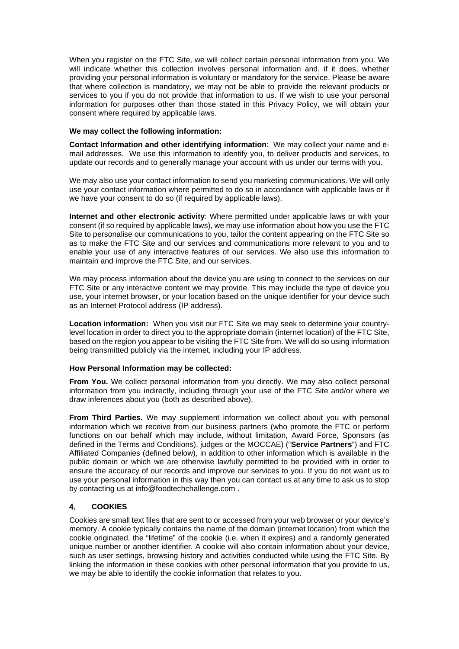When you register on the FTC Site, we will collect certain personal information from you. We will indicate whether this collection involves personal information and, if it does, whether providing your personal information is voluntary or mandatory for the service. Please be aware that where collection is mandatory, we may not be able to provide the relevant products or services to you if you do not provide that information to us. If we wish to use your personal information for purposes other than those stated in this Privacy Policy, we will obtain your consent where required by applicable laws.

#### **We may collect the following information:**

**Contact Information and other identifying information**: We may collect your name and email addresses. We use this information to identify you, to deliver products and services, to update our records and to generally manage your account with us under our terms with you.

We may also use your contact information to send you marketing communications. We will only use your contact information where permitted to do so in accordance with applicable laws or if we have your consent to do so (if required by applicable laws).

**Internet and other electronic activity**: Where permitted under applicable laws or with your consent (if so required by applicable laws), we may use information about how you use the FTC Site to personalise our communications to you, tailor the content appearing on the FTC Site so as to make the FTC Site and our services and communications more relevant to you and to enable your use of any interactive features of our services. We also use this information to maintain and improve the FTC Site, and our services.

We may process information about the device you are using to connect to the services on our FTC Site or any interactive content we may provide. This may include the type of device you use, your internet browser, or your location based on the unique identifier for your device such as an Internet Protocol address (IP address).

**Location information:** When you visit our FTC Site we may seek to determine your countrylevel location in order to direct you to the appropriate domain (internet location) of the FTC Site, based on the region you appear to be visiting the FTC Site from. We will do so using information being transmitted publicly via the internet, including your IP address.

### **How Personal Information may be collected:**

**From You.** We collect personal information from you directly. We may also collect personal information from you indirectly, including through your use of the FTC Site and/or where we draw inferences about you (both as described above).

**From Third Parties.** We may supplement information we collect about you with personal information which we receive from our business partners (who promote the FTC or perform functions on our behalf which may include, without limitation, Award Force, Sponsors (as defined in the Terms and Conditions), judges or the MOCCAE) ("**Service Partners**") and FTC Affiliated Companies (defined below), in addition to other information which is available in the public domain or which we are otherwise lawfully permitted to be provided with in order to ensure the accuracy of our records and improve our services to you. If you do not want us to use your personal information in this way then you can contact us at any time to ask us to stop by contacting us at info@foodtechchallenge.com .

# 4. **COOKIES**

Cookies are small text files that are sent to or accessed from your web browser or your device's memory. A cookie typically contains the name of the domain (internet location) from which the cookie originated, the "lifetime" of the cookie (i.e. when it expires) and a randomly generated unique number or another identifier. A cookie will also contain information about your device, such as user settings, browsing history and activities conducted while using the FTC Site. By linking the information in these cookies with other personal information that you provide to us, we may be able to identify the cookie information that relates to you.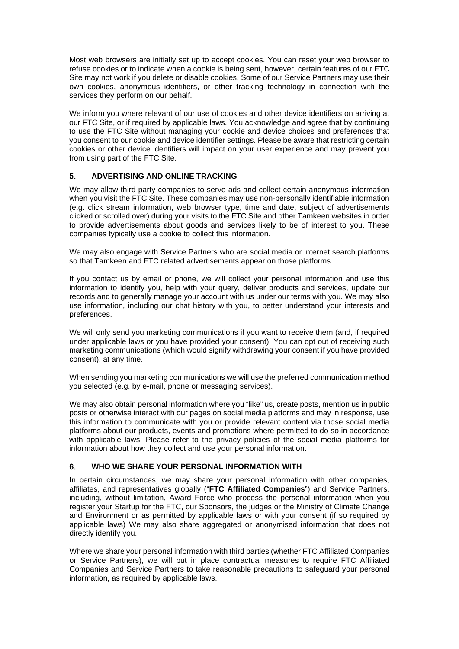Most web browsers are initially set up to accept cookies. You can reset your web browser to refuse cookies or to indicate when a cookie is being sent, however, certain features of our FTC Site may not work if you delete or disable cookies. Some of our Service Partners may use their own cookies, anonymous identifiers, or other tracking technology in connection with the services they perform on our behalf.

We inform you where relevant of our use of cookies and other device identifiers on arriving at our FTC Site, or if required by applicable laws. You acknowledge and agree that by continuing to use the FTC Site without managing your cookie and device choices and preferences that you consent to our cookie and device identifier settings. Please be aware that restricting certain cookies or other device identifiers will impact on your user experience and may prevent you from using part of the FTC Site.

## 5. **ADVERTISING AND ONLINE TRACKING**

We may allow third-party companies to serve ads and collect certain anonymous information when you visit the FTC Site. These companies may use non-personally identifiable information (e.g. click stream information, web browser type, time and date, subject of advertisements clicked or scrolled over) during your visits to the FTC Site and other Tamkeen websites in order to provide advertisements about goods and services likely to be of interest to you. These companies typically use a cookie to collect this information.

We may also engage with Service Partners who are social media or internet search platforms so that Tamkeen and FTC related advertisements appear on those platforms.

If you contact us by email or phone, we will collect your personal information and use this information to identify you, help with your query, deliver products and services, update our records and to generally manage your account with us under our terms with you. We may also use information, including our chat history with you, to better understand your interests and preferences.

We will only send you marketing communications if you want to receive them (and, if required under applicable laws or you have provided your consent). You can opt out of receiving such marketing communications (which would signify withdrawing your consent if you have provided consent), at any time.

When sending you marketing communications we will use the preferred communication method you selected (e.g. by e-mail, phone or messaging services).

We may also obtain personal information where you "like" us, create posts, mention us in public posts or otherwise interact with our pages on social media platforms and may in response, use this information to communicate with you or provide relevant content via those social media platforms about our products, events and promotions where permitted to do so in accordance with applicable laws. Please refer to the privacy policies of the social media platforms for information about how they collect and use your personal information.

## 6. **WHO WE SHARE YOUR PERSONAL INFORMATION WITH**

In certain circumstances, we may share your personal information with other companies, affiliates, and representatives globally ("**FTC Affiliated Companies**") and Service Partners, including, without limitation, Award Force who process the personal information when you register your Startup for the FTC, our Sponsors, the judges or the Ministry of Climate Change and Environment or as permitted by applicable laws or with your consent (if so required by applicable laws) We may also share aggregated or anonymised information that does not directly identify you.

Where we share your personal information with third parties (whether FTC Affiliated Companies or Service Partners), we will put in place contractual measures to require FTC Affiliated Companies and Service Partners to take reasonable precautions to safeguard your personal information, as required by applicable laws.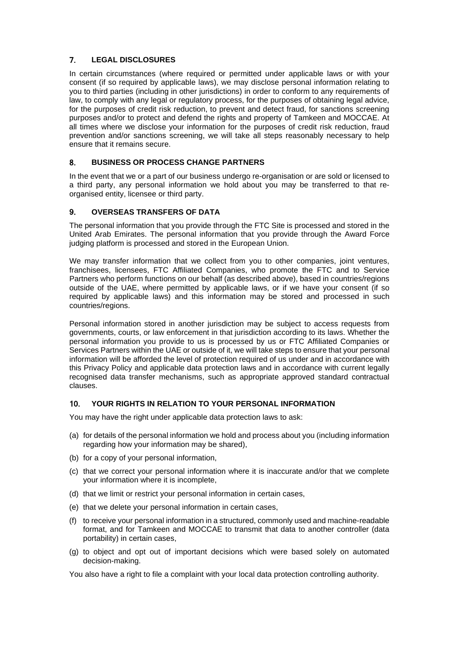# 7. **LEGAL DISCLOSURES**

In certain circumstances (where required or permitted under applicable laws or with your consent (if so required by applicable laws), we may disclose personal information relating to you to third parties (including in other jurisdictions) in order to conform to any requirements of law, to comply with any legal or regulatory process, for the purposes of obtaining legal advice, for the purposes of credit risk reduction, to prevent and detect fraud, for sanctions screening purposes and/or to protect and defend the rights and property of Tamkeen and MOCCAE. At all times where we disclose your information for the purposes of credit risk reduction, fraud prevention and/or sanctions screening, we will take all steps reasonably necessary to help ensure that it remains secure.

## 8. **BUSINESS OR PROCESS CHANGE PARTNERS**

In the event that we or a part of our business undergo re-organisation or are sold or licensed to a third party, any personal information we hold about you may be transferred to that reorganised entity, licensee or third party.

# 9. **OVERSEAS TRANSFERS OF DATA**

The personal information that you provide through the FTC Site is processed and stored in the United Arab Emirates. The personal information that you provide through the Award Force judging platform is processed and stored in the European Union.

We may transfer information that we collect from you to other companies, joint ventures, franchisees, licensees, FTC Affiliated Companies, who promote the FTC and to Service Partners who perform functions on our behalf (as described above), based in countries/regions outside of the UAE, where permitted by applicable laws, or if we have your consent (if so required by applicable laws) and this information may be stored and processed in such countries/regions.

Personal information stored in another jurisdiction may be subject to access requests from governments, courts, or law enforcement in that jurisdiction according to its laws. Whether the personal information you provide to us is processed by us or FTC Affiliated Companies or Services Partners within the UAE or outside of it, we will take steps to ensure that your personal information will be afforded the level of protection required of us under and in accordance with this Privacy Policy and applicable data protection laws and in accordance with current legally recognised data transfer mechanisms, such as appropriate approved standard contractual clauses.

## 10. **YOUR RIGHTS IN RELATION TO YOUR PERSONAL INFORMATION**

You may have the right under applicable data protection laws to ask:

- (a) for details of the personal information we hold and process about you (including information regarding how your information may be shared),
- (b) for a copy of your personal information,
- (c) that we correct your personal information where it is inaccurate and/or that we complete your information where it is incomplete,
- (d) that we limit or restrict your personal information in certain cases,
- (e) that we delete your personal information in certain cases,
- (f) to receive your personal information in a structured, commonly used and machine-readable format, and for Tamkeen and MOCCAE to transmit that data to another controller (data portability) in certain cases,
- (g) to object and opt out of important decisions which were based solely on automated decision-making.

You also have a right to file a complaint with your local data protection controlling authority.